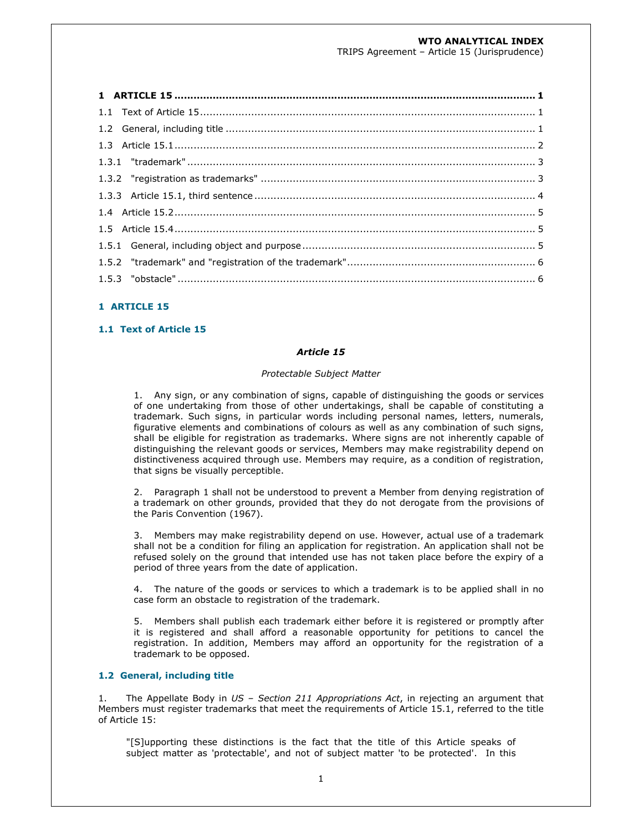# **WTO ANALYTICAL INDEX**

TRIPS Agreement – Article 15 (Jurisprudence)

## **1 ARTICLE 15**

## **1.1 Text of Article 15**

#### *Article 15*

#### *Protectable Subject Matter*

 1. Any sign, or any combination of signs, capable of distinguishing the goods or services of one undertaking from those of other undertakings, shall be capable of constituting a trademark. Such signs, in particular words including personal names, letters, numerals, figurative elements and combinations of colours as well as any combination of such signs, shall be eligible for registration as trademarks. Where signs are not inherently capable of distinguishing the relevant goods or services, Members may make registrability depend on distinctiveness acquired through use. Members may require, as a condition of registration, that signs be visually perceptible.

 2. Paragraph 1 shall not be understood to prevent a Member from denying registration of a trademark on other grounds, provided that they do not derogate from the provisions of the Paris Convention (1967).

 3. Members may make registrability depend on use. However, actual use of a trademark shall not be a condition for filing an application for registration. An application shall not be refused solely on the ground that intended use has not taken place before the expiry of a period of three years from the date of application.

 4. The nature of the goods or services to which a trademark is to be applied shall in no case form an obstacle to registration of the trademark.

 5. Members shall publish each trademark either before it is registered or promptly after it is registered and shall afford a reasonable opportunity for petitions to cancel the registration. In addition, Members may afford an opportunity for the registration of a trademark to be opposed.

### **1.2 General, including title**

1. The Appellate Body in *US – Section 211 Appropriations Act*, in rejecting an argument that Members must register trademarks that meet the requirements of Article 15.1, referred to the title of Article 15:

"[S]upporting these distinctions is the fact that the title of this Article speaks of subject matter as 'protectable', and not of subject matter 'to be protected'. In this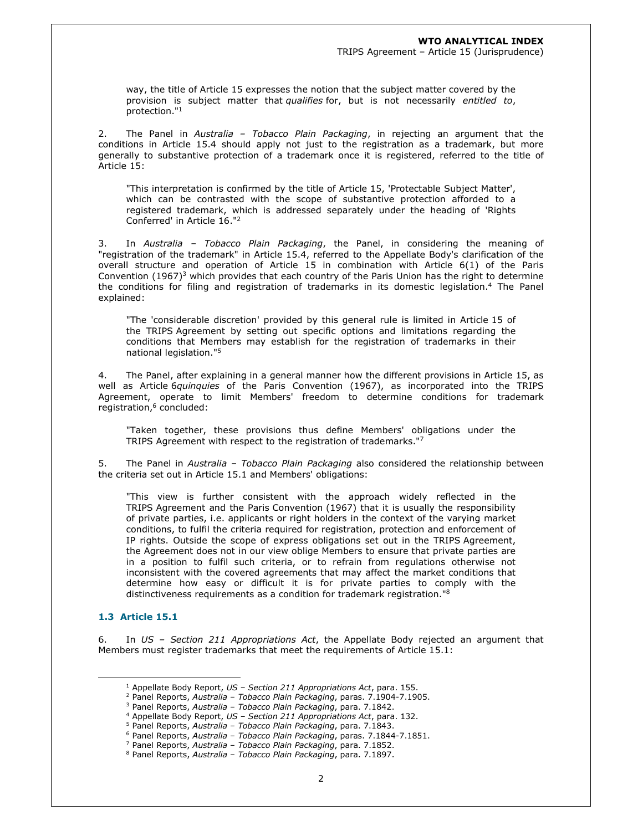TRIPS Agreement – Article 15 (Jurisprudence)

way, the title of Article 15 expresses the notion that the subject matter covered by the provision is subject matter that *qualifies* for, but is not necessarily *entitled to*, protection."<sup>1</sup>

2. The Panel in *Australia – Tobacco Plain Packaging*, in rejecting an argument that the conditions in Article 15.4 should apply not just to the registration as a trademark, but more generally to substantive protection of a trademark once it is registered, referred to the title of Article 15:

"This interpretation is confirmed by the title of Article 15, 'Protectable Subject Matter', which can be contrasted with the scope of substantive protection afforded to a registered trademark, which is addressed separately under the heading of 'Rights Conferred' in Article 16."<sup>2</sup>

3. In *Australia – Tobacco Plain Packaging*, the Panel, in considering the meaning of "registration of the trademark" in Article 15.4, referred to the Appellate Body's clarification of the overall structure and operation of Article 15 in combination with Article 6(1) of the Paris Convention (1967)<sup>3</sup> which provides that each country of the Paris Union has the right to determine the conditions for filing and registration of trademarks in its domestic legislation.<sup>4</sup> The Panel explained:

"The 'considerable discretion' provided by this general rule is limited in Article 15 of the TRIPS Agreement by setting out specific options and limitations regarding the conditions that Members may establish for the registration of trademarks in their national legislation."<sup>5</sup>

4. The Panel, after explaining in a general manner how the different provisions in Article 15, as well as Article 6*quinquies* of the Paris Convention (1967), as incorporated into the TRIPS Agreement, operate to limit Members' freedom to determine conditions for trademark registration,<sup>6</sup> concluded:

"Taken together, these provisions thus define Members' obligations under the TRIPS Agreement with respect to the registration of trademarks."<sup>7</sup>

5. The Panel in *Australia – Tobacco Plain Packaging* also considered the relationship between the criteria set out in Article 15.1 and Members' obligations:

"This view is further consistent with the approach widely reflected in the TRIPS Agreement and the Paris Convention (1967) that it is usually the responsibility of private parties, i.e. applicants or right holders in the context of the varying market conditions, to fulfil the criteria required for registration, protection and enforcement of IP rights. Outside the scope of express obligations set out in the TRIPS Agreement, the Agreement does not in our view oblige Members to ensure that private parties are in a position to fulfil such criteria, or to refrain from regulations otherwise not inconsistent with the covered agreements that may affect the market conditions that determine how easy or difficult it is for private parties to comply with the distinctiveness requirements as a condition for trademark registration."<sup>8</sup>

# **1.3 Article 15.1**

6. In *US – Section 211 Appropriations Act*, the Appellate Body rejected an argument that Members must register trademarks that meet the requirements of Article 15.1:

<sup>1</sup> Appellate Body Report, *US – Section 211 Appropriations Act*, para. 155.

<sup>2</sup> Panel Reports, *Australia – Tobacco Plain Packaging*, paras. 7.1904-7.1905.

<sup>3</sup> Panel Reports, *Australia – Tobacco Plain Packaging*, para. 7.1842.

<sup>4</sup> Appellate Body Report, *US – Section 211 Appropriations Act*, para. 132.

<sup>5</sup> Panel Reports, *Australia – Tobacco Plain Packaging*, para. 7.1843. 6 Panel Reports, *Australia – Tobacco Plain Packaging*, paras. 7.1844-7.1851.

<sup>7</sup> Panel Reports, *Australia – Tobacco Plain Packaging*, para. 7.1852.

<sup>8</sup> Panel Reports, *Australia – Tobacco Plain Packaging*, para. 7.1897.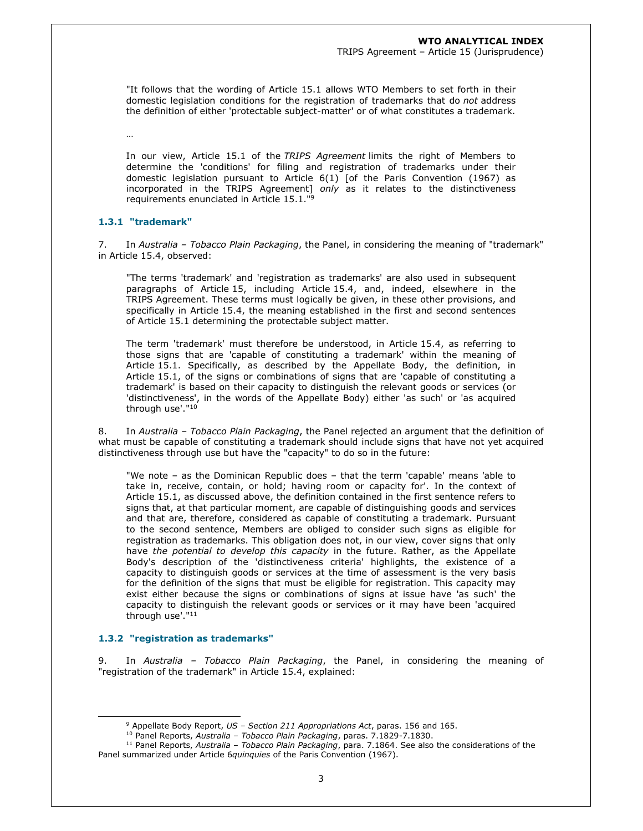TRIPS Agreement – Article 15 (Jurisprudence)

"It follows that the wording of Article 15.1 allows WTO Members to set forth in their domestic legislation conditions for the registration of trademarks that do *not* address the definition of either 'protectable subject-matter' or of what constitutes a trademark.

…

In our view, Article 15.1 of the *TRIPS Agreement* limits the right of Members to determine the 'conditions' for filing and registration of trademarks under their domestic legislation pursuant to Article 6(1) [of the Paris Convention (1967) as incorporated in the TRIPS Agreement] *only* as it relates to the distinctiveness requirements enunciated in Article 15.1."<sup>9</sup>

### **1.3.1 "trademark"**

7. In *Australia – Tobacco Plain Packaging*, the Panel, in considering the meaning of "trademark" in Article 15.4, observed:

"The terms 'trademark' and 'registration as trademarks' are also used in subsequent paragraphs of Article 15, including Article 15.4, and, indeed, elsewhere in the TRIPS Agreement. These terms must logically be given, in these other provisions, and specifically in Article 15.4, the meaning established in the first and second sentences of Article 15.1 determining the protectable subject matter.

The term 'trademark' must therefore be understood, in Article 15.4, as referring to those signs that are 'capable of constituting a trademark' within the meaning of Article 15.1. Specifically, as described by the Appellate Body, the definition, in Article 15.1, of the signs or combinations of signs that are 'capable of constituting a trademark' is based on their capacity to distinguish the relevant goods or services (or 'distinctiveness', in the words of the Appellate Body) either 'as such' or 'as acquired through use'."<sup>10</sup>

8. In *Australia – Tobacco Plain Packaging*, the Panel rejected an argument that the definition of what must be capable of constituting a trademark should include signs that have not yet acquired distinctiveness through use but have the "capacity" to do so in the future:

"We note – as the Dominican Republic does – that the term 'capable' means 'able to take in, receive, contain, or hold; having room or capacity for'. In the context of Article 15.1, as discussed above, the definition contained in the first sentence refers to signs that, at that particular moment, are capable of distinguishing goods and services and that are, therefore, considered as capable of constituting a trademark. Pursuant to the second sentence, Members are obliged to consider such signs as eligible for registration as trademarks. This obligation does not, in our view, cover signs that only have *the potential to develop this capacity* in the future. Rather, as the Appellate Body's description of the 'distinctiveness criteria' highlights, the existence of a capacity to distinguish goods or services at the time of assessment is the very basis for the definition of the signs that must be eligible for registration. This capacity may exist either because the signs or combinations of signs at issue have 'as such' the capacity to distinguish the relevant goods or services or it may have been 'acquired through use'."<sup>11</sup>

## **1.3.2 "registration as trademarks"**

9. In *Australia – Tobacco Plain Packaging*, the Panel, in considering the meaning of "registration of the trademark" in Article 15.4, explained:

<sup>9</sup> Appellate Body Report, *US – Section 211 Appropriations Act*, paras. 156 and 165.

<sup>10</sup> Panel Reports, *Australia – Tobacco Plain Packaging*, paras. 7.1829-7.1830.

<sup>11</sup> Panel Reports, *Australia – Tobacco Plain Packaging*, para. 7.1864. See also the considerations of the Panel summarized under Article 6*quinquies* of the Paris Convention (1967).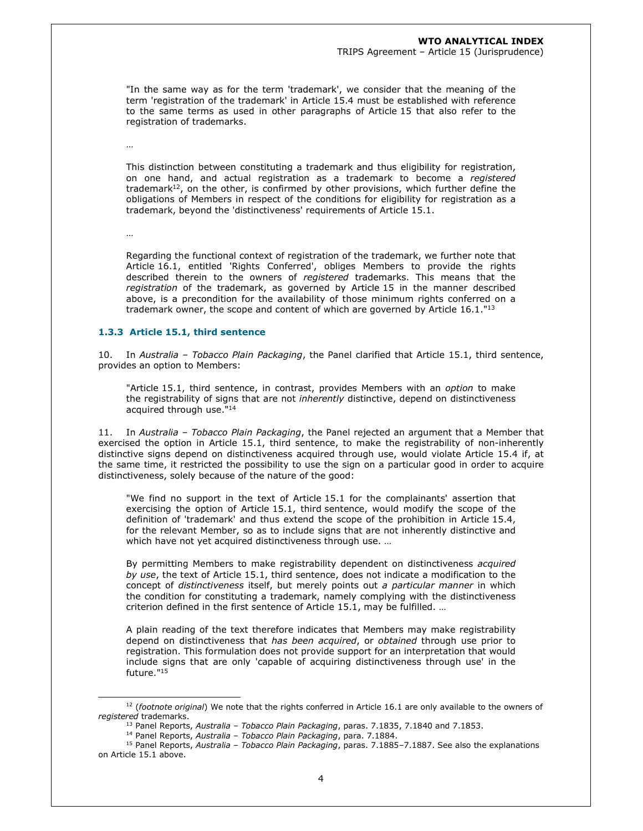#### **WTO ANALYTICAL INDEX**

#### TRIPS Agreement – Article 15 (Jurisprudence)

"In the same way as for the term 'trademark', we consider that the meaning of the term 'registration of the trademark' in Article 15.4 must be established with reference to the same terms as used in other paragraphs of Article 15 that also refer to the registration of trademarks.

…

This distinction between constituting a trademark and thus eligibility for registration, on one hand, and actual registration as a trademark to become a *registered* trademark $12$ , on the other, is confirmed by other provisions, which further define the obligations of Members in respect of the conditions for eligibility for registration as a trademark, beyond the 'distinctiveness' requirements of Article 15.1.

…

Regarding the functional context of registration of the trademark, we further note that Article 16.1, entitled 'Rights Conferred', obliges Members to provide the rights described therein to the owners of *registered* trademarks. This means that the *registration* of the trademark, as governed by Article 15 in the manner described above, is a precondition for the availability of those minimum rights conferred on a trademark owner, the scope and content of which are governed by Article  $16.1.^{n_{13}}$ 

#### **1.3.3 Article 15.1, third sentence**

10. In *Australia – Tobacco Plain Packaging*, the Panel clarified that Article 15.1, third sentence, provides an option to Members:

"Article 15.1, third sentence, in contrast, provides Members with an *option* to make the registrability of signs that are not *inherently* distinctive, depend on distinctiveness acquired through use."<sup>14</sup>

11. In *Australia – Tobacco Plain Packaging*, the Panel rejected an argument that a Member that exercised the option in Article 15.1, third sentence, to make the registrability of non-inherently distinctive signs depend on distinctiveness acquired through use, would violate Article 15.4 if, at the same time, it restricted the possibility to use the sign on a particular good in order to acquire distinctiveness, solely because of the nature of the good:

"We find no support in the text of Article 15.1 for the complainants' assertion that exercising the option of Article 15.1, third sentence, would modify the scope of the definition of 'trademark' and thus extend the scope of the prohibition in Article 15.4, for the relevant Member, so as to include signs that are not inherently distinctive and which have not yet acquired distinctiveness through use. …

By permitting Members to make registrability dependent on distinctiveness *acquired by use*, the text of Article 15.1, third sentence, does not indicate a modification to the concept of *distinctiveness* itself, but merely points out *a particular manner* in which the condition for constituting a trademark, namely complying with the distinctiveness criterion defined in the first sentence of Article 15.1, may be fulfilled. …

A plain reading of the text therefore indicates that Members may make registrability depend on distinctiveness that *has been acquired*, or *obtained* through use prior to registration. This formulation does not provide support for an interpretation that would include signs that are only 'capable of acquiring distinctiveness through use' in the future."<sup>15</sup>

<sup>12</sup> (*footnote original*) We note that the rights conferred in Article 16.1 are only available to the owners of *registered* trademarks.

<sup>13</sup> Panel Reports, *Australia – Tobacco Plain Packaging*, paras. 7.1835, 7.1840 and 7.1853.

<sup>14</sup> Panel Reports, *Australia – Tobacco Plain Packaging*, para. 7.1884.

<sup>15</sup> Panel Reports, *Australia – Tobacco Plain Packaging*, paras. 7.1885–7.1887. See also the explanations on Article 15.1 above.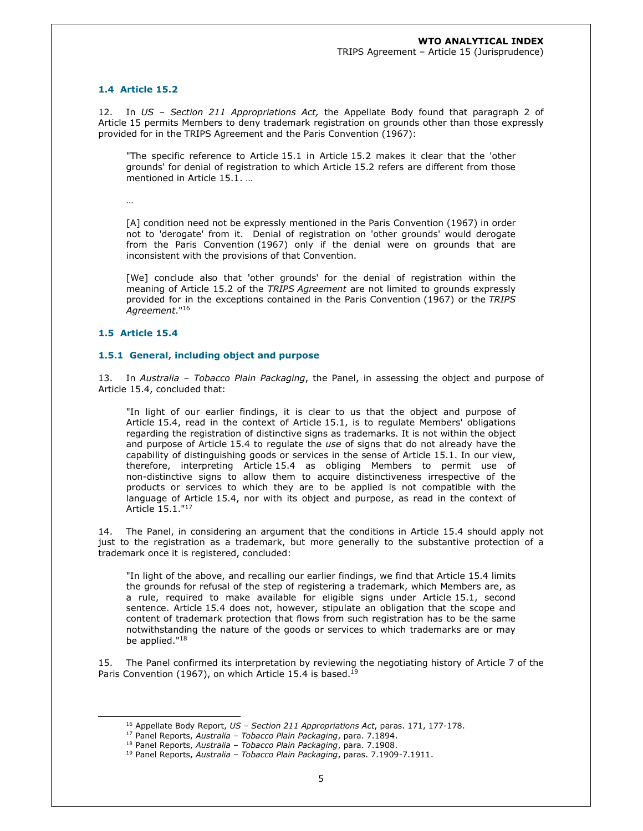## **1.4 Article 15.2**

12. In *US – Section 211 Appropriations Act,* the Appellate Body found that paragraph 2 of Article 15 permits Members to deny trademark registration on grounds other than those expressly provided for in the TRIPS Agreement and the Paris Convention (1967):

"The specific reference to Article 15.1 in Article 15.2 makes it clear that the 'other grounds' for denial of registration to which Article 15.2 refers are different from those mentioned in Article 15.1. …

…

[A] condition need not be expressly mentioned in the Paris Convention (1967) in order not to 'derogate' from it. Denial of registration on 'other grounds' would derogate from the Paris Convention (1967) only if the denial were on grounds that are inconsistent with the provisions of that Convention.

[We] conclude also that 'other grounds' for the denial of registration within the meaning of Article 15.2 of the *TRIPS Agreement* are not limited to grounds expressly provided for in the exceptions contained in the Paris Convention (1967) or the *TRIPS Agreement*."<sup>16</sup>

## **1.5 Article 15.4**

# **1.5.1 General, including object and purpose**

13. In *Australia – Tobacco Plain Packaging*, the Panel, in assessing the object and purpose of Article 15.4, concluded that:

"In light of our earlier findings, it is clear to us that the object and purpose of Article 15.4, read in the context of Article 15.1, is to regulate Members' obligations regarding the registration of distinctive signs as trademarks. It is not within the object and purpose of Article 15.4 to regulate the *use* of signs that do not already have the capability of distinguishing goods or services in the sense of Article 15.1. In our view, therefore, interpreting Article 15.4 as obliging Members to permit use of non-distinctive signs to allow them to acquire distinctiveness irrespective of the products or services to which they are to be applied is not compatible with the language of Article 15.4, nor with its object and purpose, as read in the context of Article 15.1."<sup>17</sup>

14. The Panel, in considering an argument that the conditions in Article 15.4 should apply not just to the registration as a trademark, but more generally to the substantive protection of a trademark once it is registered, concluded:

"In light of the above, and recalling our earlier findings, we find that Article 15.4 limits the grounds for refusal of the step of registering a trademark, which Members are, as a rule, required to make available for eligible signs under Article 15.1, second sentence. Article 15.4 does not, however, stipulate an obligation that the scope and content of trademark protection that flows from such registration has to be the same notwithstanding the nature of the goods or services to which trademarks are or may be applied."<sup>18</sup>

15. The Panel confirmed its interpretation by reviewing the negotiating history of Article 7 of the Paris Convention (1967), on which Article 15.4 is based.<sup>19</sup>

<sup>16</sup> Appellate Body Report, *US – Section 211 Appropriations Act*, paras. 171, 177-178.

<sup>17</sup> Panel Reports, *Australia – Tobacco Plain Packaging*, para. 7.1894.

<sup>18</sup> Panel Reports, *Australia – Tobacco Plain Packaging*, para. 7.1908.

<sup>19</sup> Panel Reports, *Australia – Tobacco Plain Packaging*, paras. 7.1909-7.1911.